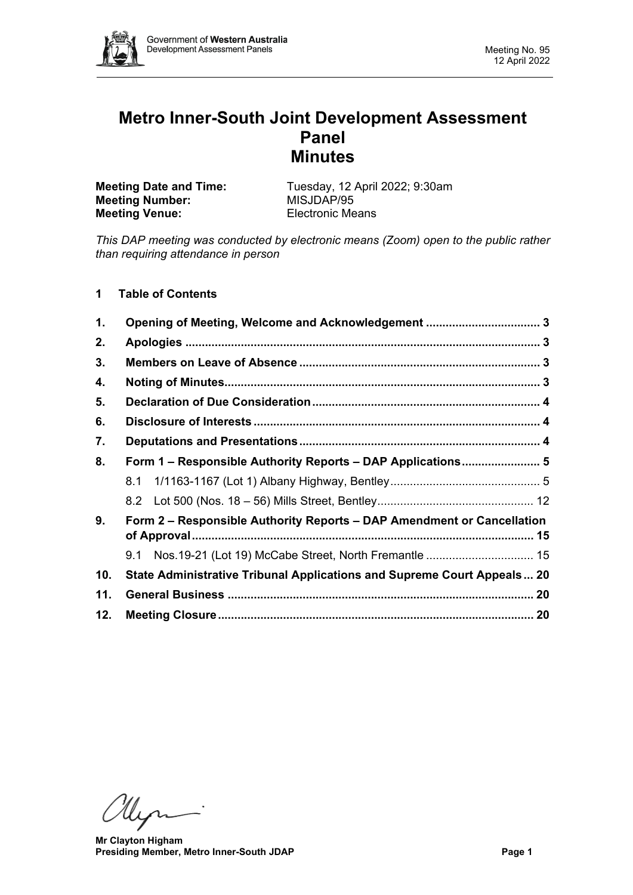

# **Metro Inner-South Joint Development Assessment Panel Minutes**

| <b>Meeting Date and Time:</b> | Tuesday, 12 April 2022; 9:30am |
|-------------------------------|--------------------------------|
| <b>Meeting Number:</b>        | MISJDAP/95                     |
| <b>Meeting Venue:</b>         | <b>Electronic Means</b>        |

*This DAP meeting was conducted by electronic means (Zoom) open to the public rather than requiring attendance in person*

# **1 Table of Contents**

| 1.  |                                                                         |  |  |  |  |
|-----|-------------------------------------------------------------------------|--|--|--|--|
| 2.  |                                                                         |  |  |  |  |
| 3.  |                                                                         |  |  |  |  |
| 4.  |                                                                         |  |  |  |  |
| 5.  |                                                                         |  |  |  |  |
| 6.  |                                                                         |  |  |  |  |
| 7.  |                                                                         |  |  |  |  |
| 8.  | Form 1 – Responsible Authority Reports – DAP Applications 5             |  |  |  |  |
|     |                                                                         |  |  |  |  |
|     |                                                                         |  |  |  |  |
| 9.  | Form 2 - Responsible Authority Reports - DAP Amendment or Cancellation  |  |  |  |  |
|     |                                                                         |  |  |  |  |
| 10. | State Administrative Tribunal Applications and Supreme Court Appeals 20 |  |  |  |  |
| 11. |                                                                         |  |  |  |  |
| 12. |                                                                         |  |  |  |  |

Myri

**Mr Clayton Higham Presiding Member, Metro Inner-South JDAP Page 1**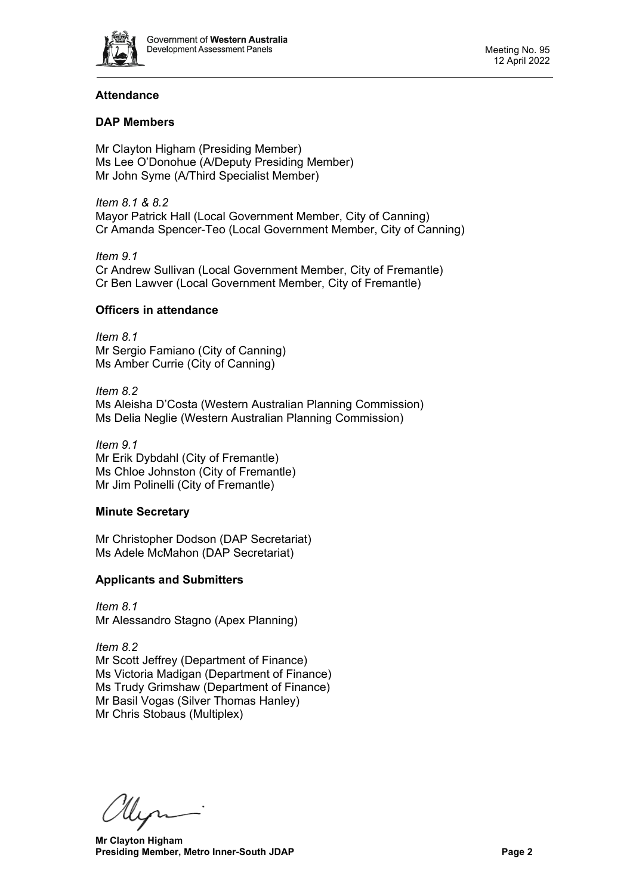

# **Attendance**

# **DAP Members**

Mr Clayton Higham (Presiding Member) Ms Lee O'Donohue (A/Deputy Presiding Member) Mr John Syme (A/Third Specialist Member)

*Item 8.1 & 8.2* Mayor Patrick Hall (Local Government Member, City of Canning) Cr Amanda Spencer-Teo (Local Government Member, City of Canning)

*Item 9.1* Cr Andrew Sullivan (Local Government Member, City of Fremantle) Cr Ben Lawver (Local Government Member, City of Fremantle)

# **Officers in attendance**

*Item 8.1* Mr Sergio Famiano (City of Canning) Ms Amber Currie (City of Canning)

*Item 8.2* Ms Aleisha D'Costa (Western Australian Planning Commission) Ms Delia Neglie (Western Australian Planning Commission)

*Item 9.1* Mr Erik Dybdahl (City of Fremantle) Ms Chloe Johnston (City of Fremantle) Mr Jim Polinelli (City of Fremantle)

# **Minute Secretary**

Mr Christopher Dodson (DAP Secretariat) Ms Adele McMahon (DAP Secretariat)

# **Applicants and Submitters**

*Item 8.1* Mr Alessandro Stagno (Apex Planning)

*Item 8.2* Mr Scott Jeffrey (Department of Finance) Ms Victoria Madigan (Department of Finance) Ms Trudy Grimshaw (Department of Finance) Mr Basil Vogas (Silver Thomas Hanley) Mr Chris Stobaus (Multiplex)

Hyr

**Mr Clayton Higham Presiding Member, Metro Inner-South JDAP Page 2 Page 2**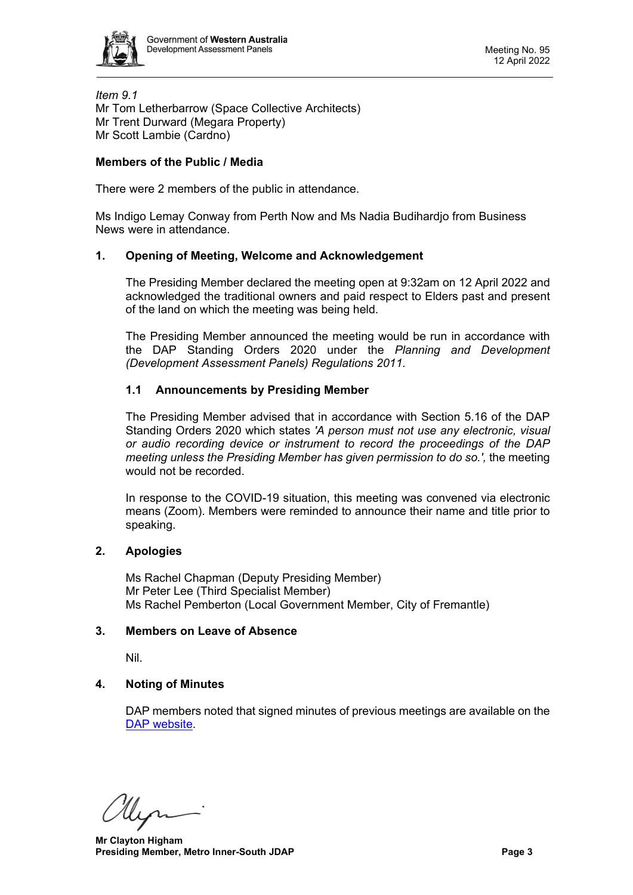

*Item 9.1* Mr Tom Letherbarrow (Space Collective Architects) Mr Trent Durward (Megara Property) Mr Scott Lambie (Cardno)

# **Members of the Public / Media**

There were 2 members of the public in attendance.

Ms Indigo Lemay Conway from Perth Now and Ms Nadia Budihardjo from Business News were in attendance.

#### <span id="page-2-0"></span>**1. Opening of Meeting, Welcome and Acknowledgement**

The Presiding Member declared the meeting open at 9:32am on 12 April 2022 and acknowledged the traditional owners and paid respect to Elders past and present of the land on which the meeting was being held.

The Presiding Member announced the meeting would be run in accordance with the DAP Standing Orders 2020 under the *Planning and Development (Development Assessment Panels) Regulations 2011.*

# **1.1 Announcements by Presiding Member**

The Presiding Member advised that in accordance with Section 5.16 of the DAP Standing Orders 2020 which states *'A person must not use any electronic, visual or audio recording device or instrument to record the proceedings of the DAP meeting unless the Presiding Member has given permission to do so.',* the meeting would not be recorded.

<span id="page-2-1"></span>In response to the COVID-19 situation, this meeting was convened via electronic means (Zoom). Members were reminded to announce their name and title prior to speaking.

#### **2. Apologies**

Ms Rachel Chapman (Deputy Presiding Member) Mr Peter Lee (Third Specialist Member) Ms Rachel Pemberton (Local Government Member, City of Fremantle)

#### <span id="page-2-2"></span>**3. Members on Leave of Absence**

Nil.

# <span id="page-2-3"></span>**4. Noting of Minutes**

DAP members noted that signed minutes of previous meetings are available on the [DAP website.](https://www.dplh.wa.gov.au/about/development-assessment-panels/daps-agendas-and-minutes)

lleon

**Mr Clayton Higham Presiding Member, Metro Inner-South JDAP Page 3 Page 3**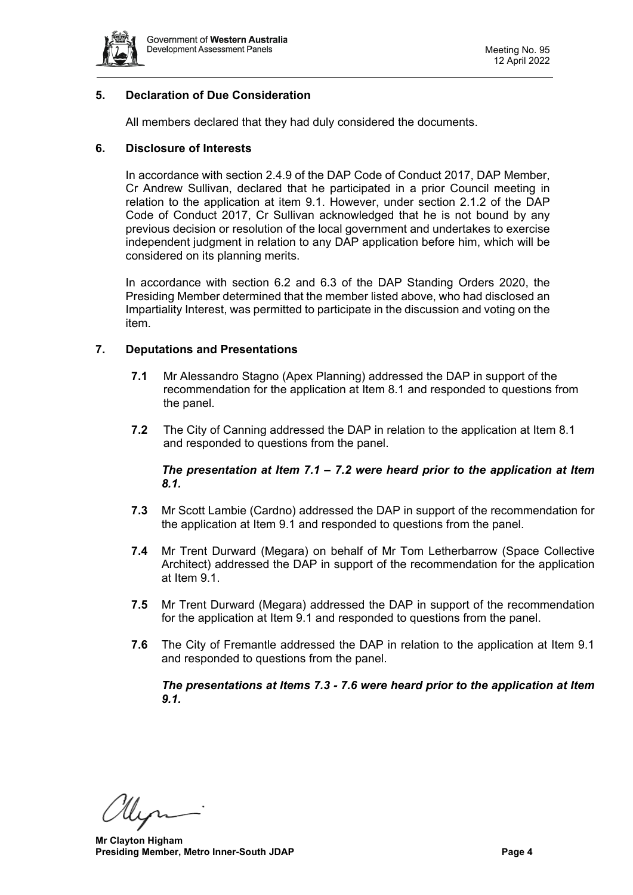

# <span id="page-3-0"></span>**5. Declaration of Due Consideration**

All members declared that they had duly considered the documents.

#### <span id="page-3-1"></span>**6. Disclosure of Interests**

In accordance with section 2.4.9 of the DAP Code of Conduct 2017, DAP Member, Cr Andrew Sullivan, declared that he participated in a prior Council meeting in relation to the application at item 9.1. However, under section 2.1.2 of the DAP Code of Conduct 2017, Cr Sullivan acknowledged that he is not bound by any previous decision or resolution of the local government and undertakes to exercise independent judgment in relation to any DAP application before him, which will be considered on its planning merits.

In accordance with section 6.2 and 6.3 of the DAP Standing Orders 2020, the Presiding Member determined that the member listed above, who had disclosed an Impartiality Interest, was permitted to participate in the discussion and voting on the item.

# <span id="page-3-2"></span>**7. Deputations and Presentations**

- **7.1** Mr Alessandro Stagno (Apex Planning) addressed the DAP in support of the recommendation for the application at Item 8.1 and responded to questions from the panel.
- **7.2** The City of Canning addressed the DAP in relation to the application at Item 8.1 and responded to questions from the panel.

# *The presentation at Item 7.1 – 7.2 were heard prior to the application at Item 8.1.*

- **7.3** Mr Scott Lambie (Cardno) addressed the DAP in support of the recommendation for the application at Item 9.1 and responded to questions from the panel.
- **7.4** Mr Trent Durward (Megara) on behalf of Mr Tom Letherbarrow (Space Collective Architect) addressed the DAP in support of the recommendation for the application at Item 9.1.
- **7.5** Mr Trent Durward (Megara) addressed the DAP in support of the recommendation for the application at Item 9.1 and responded to questions from the panel.
- **7.6** The City of Fremantle addressed the DAP in relation to the application at Item 9.1 and responded to questions from the panel.

# <span id="page-3-3"></span>*The presentations at Items 7.3 - 7.6 were heard prior to the application at Item 9.1.*

Hen

**Mr Clayton Higham Presiding Member, Metro Inner-South JDAP Page 4 Page 4**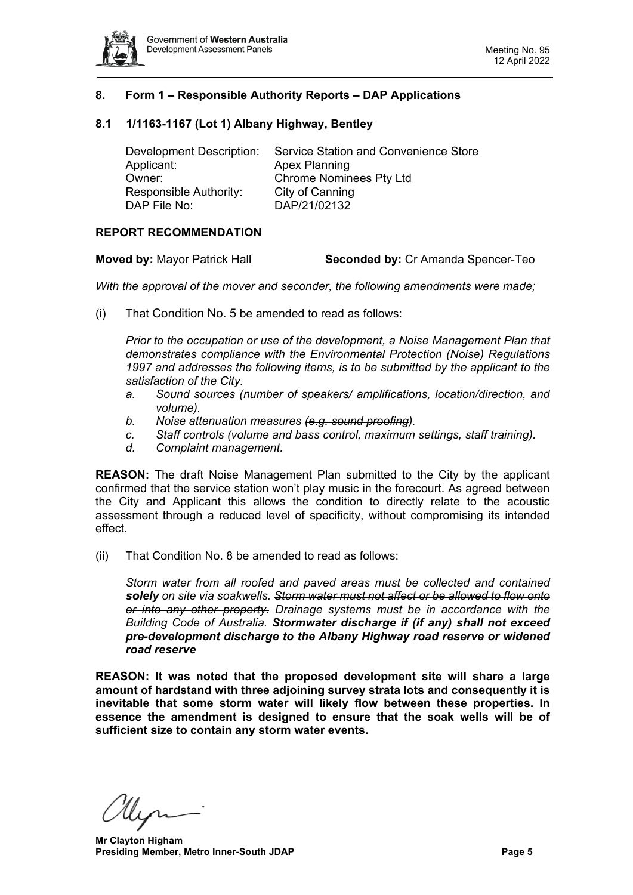

# **8. Form 1 – Responsible Authority Reports – DAP Applications**

#### <span id="page-4-0"></span>**8.1 1/1163-1167 (Lot 1) Albany Highway, Bentley**

| Development Description: | Service Station and Convenience Store |
|--------------------------|---------------------------------------|
| Applicant:               | Apex Planning                         |
| Owner:                   | <b>Chrome Nominees Pty Ltd</b>        |
| Responsible Authority:   | City of Canning                       |
| DAP File No:             | DAP/21/02132                          |

#### **REPORT RECOMMENDATION**

**Moved by:** Mayor Patrick Hall **Seconded by:** Cr Amanda Spencer-Teo

*With the approval of the mover and seconder, the following amendments were made;*

(i) That Condition No. 5 be amended to read as follows:

*Prior to the occupation or use of the development, a Noise Management Plan that demonstrates compliance with the Environmental Protection (Noise) Regulations 1997 and addresses the following items, is to be submitted by the applicant to the satisfaction of the City.*

- *a. Sound sources (number of speakers/ amplifications, location/direction, and volume).*
- *b. Noise attenuation measures (e.g. sound proofing).*
- *c. Staff controls (volume and bass control, maximum settings, staff training).*
- *d. Complaint management.*

**REASON:** The draft Noise Management Plan submitted to the City by the applicant confirmed that the service station won't play music in the forecourt. As agreed between the City and Applicant this allows the condition to directly relate to the acoustic assessment through a reduced level of specificity, without compromising its intended effect.

(ii) That Condition No. 8 be amended to read as follows:

*Storm water from all roofed and paved areas must be collected and contained solely on site via soakwells. Storm water must not affect or be allowed to flow onto or into any other property. Drainage systems must be in accordance with the Building Code of Australia. Stormwater discharge if (if any) shall not exceed pre-development discharge to the Albany Highway road reserve or widened road reserve*

**REASON: It was noted that the proposed development site will share a large amount of hardstand with three adjoining survey strata lots and consequently it is inevitable that some storm water will likely flow between these properties. In essence the amendment is designed to ensure that the soak wells will be of sufficient size to contain any storm water events.**

**Mr Clayton Higham Presiding Member, Metro Inner-South JDAP Page 5 Page 5**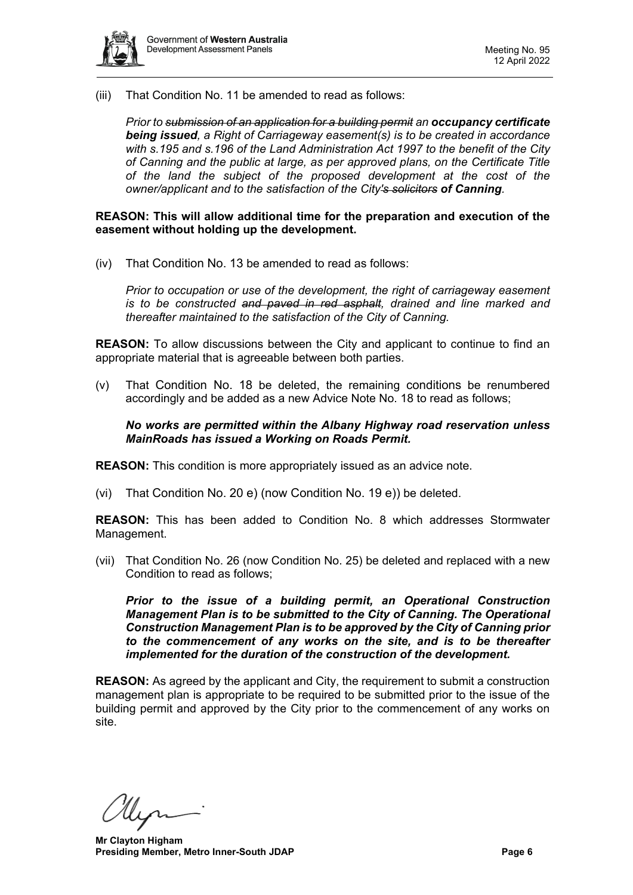

(iii) That Condition No. 11 be amended to read as follows:

*Prior to submission of an application for a building permit an occupancy certificate being issued, a Right of Carriageway easement(s) is to be created in accordance with s.195 and s.196 of the Land Administration Act 1997 to the benefit of the City of Canning and the public at large, as per approved plans, on the Certificate Title of the land the subject of the proposed development at the cost of the owner/applicant and to the satisfaction of the City's solicitors of Canning.*

**REASON: This will allow additional time for the preparation and execution of the easement without holding up the development.**

(iv) That Condition No. 13 be amended to read as follows:

*Prior to occupation or use of the development, the right of carriageway easement*  is to be constructed and paved in red asphalt, drained and line marked and *thereafter maintained to the satisfaction of the City of Canning.* 

**REASON:** To allow discussions between the City and applicant to continue to find an appropriate material that is agreeable between both parties.

(v) That Condition No. 18 be deleted, the remaining conditions be renumbered accordingly and be added as a new Advice Note No. 18 to read as follows;

*No works are permitted within the Albany Highway road reservation unless MainRoads has issued a Working on Roads Permit.*

**REASON:** This condition is more appropriately issued as an advice note.

(vi) That Condition No. 20 e) (now Condition No. 19 e)) be deleted.

**REASON:** This has been added to Condition No. 8 which addresses Stormwater Management.

(vii) That Condition No. 26 (now Condition No. 25) be deleted and replaced with a new Condition to read as follows;

*Prior to the issue of a building permit, an Operational Construction Management Plan is to be submitted to the City of Canning. The Operational Construction Management Plan is to be approved by the City of Canning prior to the commencement of any works on the site, and is to be thereafter implemented for the duration of the construction of the development.*

**REASON:** As agreed by the applicant and City, the requirement to submit a construction management plan is appropriate to be required to be submitted prior to the issue of the building permit and approved by the City prior to the commencement of any works on site.

llin

**Mr Clayton Higham Presiding Member, Metro Inner-South JDAP Page 6 Page 6**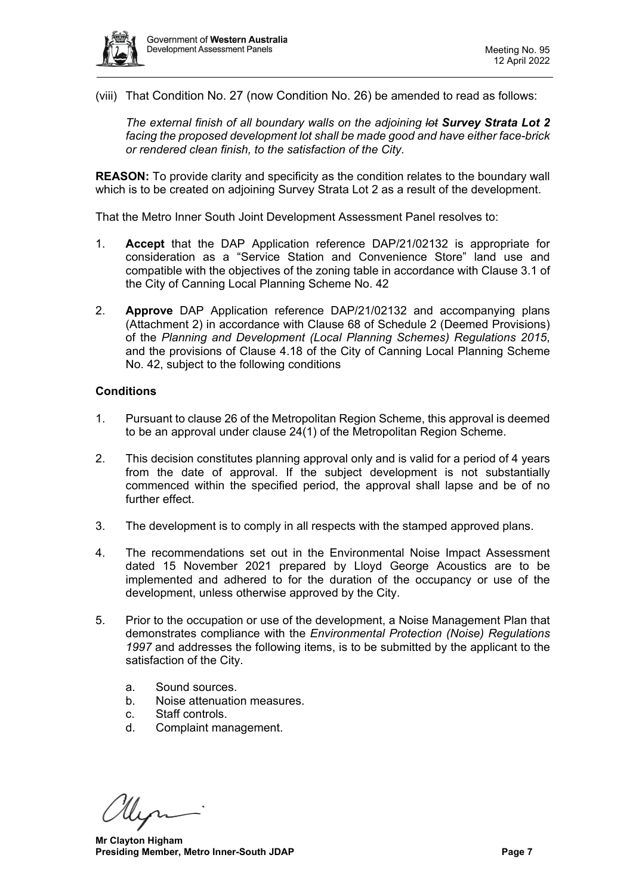

(viii) That Condition No. 27 (now Condition No. 26) be amended to read as follows:

*The external finish of all boundary walls on the adjoining lot Survey Strata Lot 2 facing the proposed development lot shall be made good and have either face-brick or rendered clean finish, to the satisfaction of the City.* 

**REASON:** To provide clarity and specificity as the condition relates to the boundary wall which is to be created on adjoining Survey Strata Lot 2 as a result of the development.

That the Metro Inner South Joint Development Assessment Panel resolves to:

- 1. **Accept** that the DAP Application reference DAP/21/02132 is appropriate for consideration as a "Service Station and Convenience Store" land use and compatible with the objectives of the zoning table in accordance with Clause 3.1 of the City of Canning Local Planning Scheme No. 42
- 2. **Approve** DAP Application reference DAP/21/02132 and accompanying plans (Attachment 2) in accordance with Clause 68 of Schedule 2 (Deemed Provisions) of the *Planning and Development (Local Planning Schemes) Regulations 2015*, and the provisions of Clause 4.18 of the City of Canning Local Planning Scheme No. 42, subject to the following conditions

#### **Conditions**

- 1. Pursuant to clause 26 of the Metropolitan Region Scheme, this approval is deemed to be an approval under clause 24(1) of the Metropolitan Region Scheme.
- 2. This decision constitutes planning approval only and is valid for a period of 4 years from the date of approval. If the subject development is not substantially commenced within the specified period, the approval shall lapse and be of no further effect.
- 3. The development is to comply in all respects with the stamped approved plans.
- 4. The recommendations set out in the Environmental Noise Impact Assessment dated 15 November 2021 prepared by Lloyd George Acoustics are to be implemented and adhered to for the duration of the occupancy or use of the development, unless otherwise approved by the City.
- 5. Prior to the occupation or use of the development, a Noise Management Plan that demonstrates compliance with the *Environmental Protection (Noise) Regulations 1997* and addresses the following items, is to be submitted by the applicant to the satisfaction of the City.
	- a. Sound sources.
	- b. Noise attenuation measures.
	- c. Staff controls.
	- d. Complaint management.

**Mr Clayton Higham Presiding Member, Metro Inner-South JDAP Page 7 Page 7**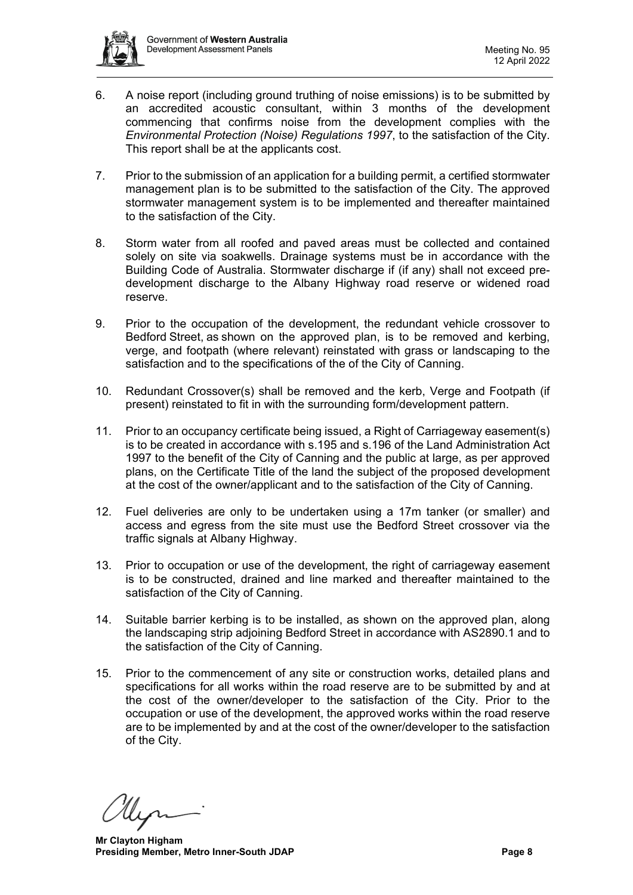

- 6. A noise report (including ground truthing of noise emissions) is to be submitted by an accredited acoustic consultant, within 3 months of the development commencing that confirms noise from the development complies with the *Environmental Protection (Noise) Regulations 1997*, to the satisfaction of the City. This report shall be at the applicants cost.
- 7. Prior to the submission of an application for a building permit, a certified stormwater management plan is to be submitted to the satisfaction of the City. The approved stormwater management system is to be implemented and thereafter maintained to the satisfaction of the City.
- 8. Storm water from all roofed and paved areas must be collected and contained solely on site via soakwells. Drainage systems must be in accordance with the Building Code of Australia. Stormwater discharge if (if any) shall not exceed predevelopment discharge to the Albany Highway road reserve or widened road reserve.
- 9. Prior to the occupation of the development, the redundant vehicle crossover to Bedford Street, as shown on the approved plan, is to be removed and kerbing, verge, and footpath (where relevant) reinstated with grass or landscaping to the satisfaction and to the specifications of the of the City of Canning.
- 10. Redundant Crossover(s) shall be removed and the kerb, Verge and Footpath (if present) reinstated to fit in with the surrounding form/development pattern.
- 11. Prior to an occupancy certificate being issued, a Right of Carriageway easement(s) is to be created in accordance with s.195 and s.196 of the Land Administration Act 1997 to the benefit of the City of Canning and the public at large, as per approved plans, on the Certificate Title of the land the subject of the proposed development at the cost of the owner/applicant and to the satisfaction of the City of Canning.
- 12. Fuel deliveries are only to be undertaken using a 17m tanker (or smaller) and access and egress from the site must use the Bedford Street crossover via the traffic signals at Albany Highway.
- 13. Prior to occupation or use of the development, the right of carriageway easement is to be constructed, drained and line marked and thereafter maintained to the satisfaction of the City of Canning.
- 14. Suitable barrier kerbing is to be installed, as shown on the approved plan, along the landscaping strip adjoining Bedford Street in accordance with AS2890.1 and to the satisfaction of the City of Canning.
- 15. Prior to the commencement of any site or construction works, detailed plans and specifications for all works within the road reserve are to be submitted by and at the cost of the owner/developer to the satisfaction of the City. Prior to the occupation or use of the development, the approved works within the road reserve are to be implemented by and at the cost of the owner/developer to the satisfaction of the City.

**Mr Clayton Higham Presiding Member, Metro Inner-South JDAP Page 8**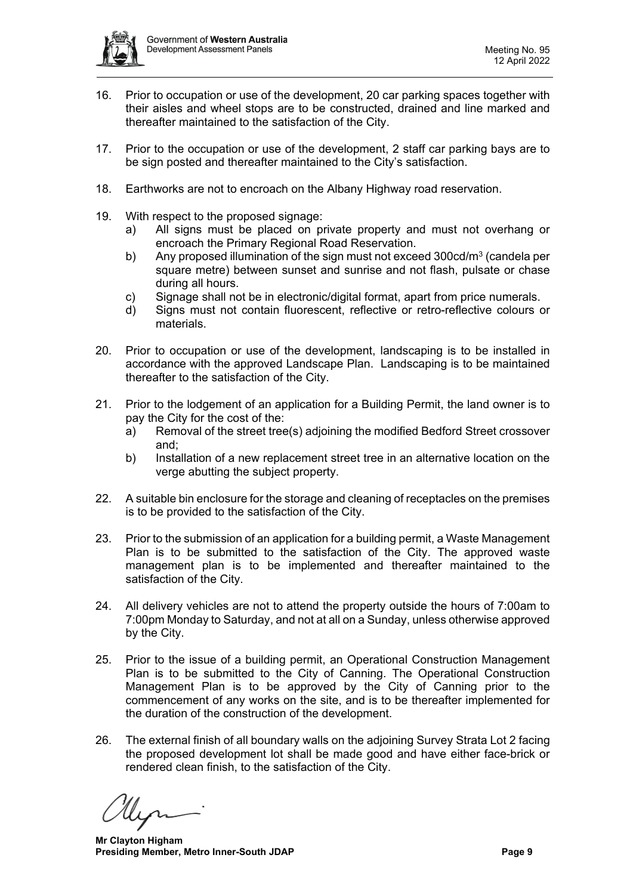

- 16. Prior to occupation or use of the development, 20 car parking spaces together with their aisles and wheel stops are to be constructed, drained and line marked and thereafter maintained to the satisfaction of the City.
- 17. Prior to the occupation or use of the development, 2 staff car parking bays are to be sign posted and thereafter maintained to the City's satisfaction.
- 18. Earthworks are not to encroach on the Albany Highway road reservation.
- 19. With respect to the proposed signage:
	- a) All signs must be placed on private property and must not overhang or encroach the Primary Regional Road Reservation.
	- b) Any proposed illumination of the sign must not exceed  $300 \text{cd/m}^3$  (candela per square metre) between sunset and sunrise and not flash, pulsate or chase during all hours.
	- c) Signage shall not be in electronic/digital format, apart from price numerals.
	- d) Signs must not contain fluorescent, reflective or retro-reflective colours or materials.
- 20. Prior to occupation or use of the development, landscaping is to be installed in accordance with the approved Landscape Plan. Landscaping is to be maintained thereafter to the satisfaction of the City.
- 21. Prior to the lodgement of an application for a Building Permit, the land owner is to pay the City for the cost of the:
	- a) Removal of the street tree(s) adjoining the modified Bedford Street crossover and;
	- b) Installation of a new replacement street tree in an alternative location on the verge abutting the subject property.
- 22. A suitable bin enclosure for the storage and cleaning of receptacles on the premises is to be provided to the satisfaction of the City.
- 23. Prior to the submission of an application for a building permit, a Waste Management Plan is to be submitted to the satisfaction of the City. The approved waste management plan is to be implemented and thereafter maintained to the satisfaction of the City.
- 24. All delivery vehicles are not to attend the property outside the hours of 7:00am to 7:00pm Monday to Saturday, and not at all on a Sunday, unless otherwise approved by the City.
- 25. Prior to the issue of a building permit, an Operational Construction Management Plan is to be submitted to the City of Canning. The Operational Construction Management Plan is to be approved by the City of Canning prior to the commencement of any works on the site, and is to be thereafter implemented for the duration of the construction of the development.
- 26. The external finish of all boundary walls on the adjoining Survey Strata Lot 2 facing the proposed development lot shall be made good and have either face-brick or rendered clean finish, to the satisfaction of the City.

**Mr Clayton Higham Presiding Member, Metro Inner-South JDAP Page 9**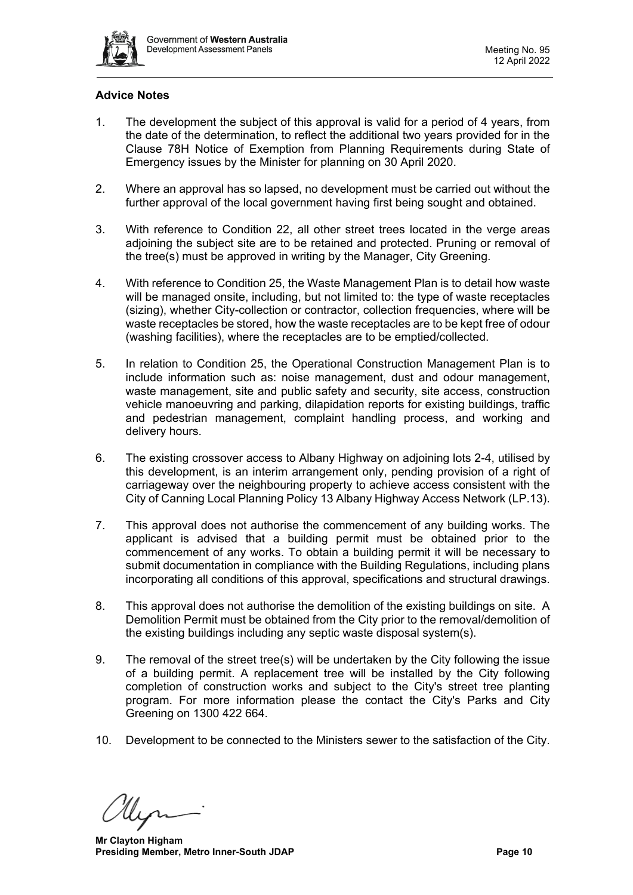

# **Advice Notes**

- 1. The development the subject of this approval is valid for a period of 4 years, from the date of the determination, to reflect the additional two years provided for in the Clause 78H Notice of Exemption from Planning Requirements during State of Emergency issues by the Minister for planning on 30 April 2020.
- 2. Where an approval has so lapsed, no development must be carried out without the further approval of the local government having first being sought and obtained.
- 3. With reference to Condition 22, all other street trees located in the verge areas adjoining the subject site are to be retained and protected. Pruning or removal of the tree(s) must be approved in writing by the Manager, City Greening.
- 4. With reference to Condition 25, the Waste Management Plan is to detail how waste will be managed onsite, including, but not limited to: the type of waste receptacles (sizing), whether City-collection or contractor, collection frequencies, where will be waste receptacles be stored, how the waste receptacles are to be kept free of odour (washing facilities), where the receptacles are to be emptied/collected.
- 5. In relation to Condition 25, the Operational Construction Management Plan is to include information such as: noise management, dust and odour management, waste management, site and public safety and security, site access, construction vehicle manoeuvring and parking, dilapidation reports for existing buildings, traffic and pedestrian management, complaint handling process, and working and delivery hours.
- 6. The existing crossover access to Albany Highway on adjoining lots 2-4, utilised by this development, is an interim arrangement only, pending provision of a right of carriageway over the neighbouring property to achieve access consistent with the City of Canning Local Planning Policy 13 Albany Highway Access Network (LP.13).
- 7. This approval does not authorise the commencement of any building works. The applicant is advised that a building permit must be obtained prior to the commencement of any works. To obtain a building permit it will be necessary to submit documentation in compliance with the Building Regulations, including plans incorporating all conditions of this approval, specifications and structural drawings.
- 8. This approval does not authorise the demolition of the existing buildings on site. A Demolition Permit must be obtained from the City prior to the removal/demolition of the existing buildings including any septic waste disposal system(s).
- 9. The removal of the street tree(s) will be undertaken by the City following the issue of a building permit. A replacement tree will be installed by the City following completion of construction works and subject to the City's street tree planting program. For more information please the contact the City's Parks and City Greening on 1300 422 664.
- 10. Development to be connected to the Ministers sewer to the satisfaction of the City.

**Mr Clayton Higham Presiding Member, Metro Inner-South JDAP Page 10 Page 10**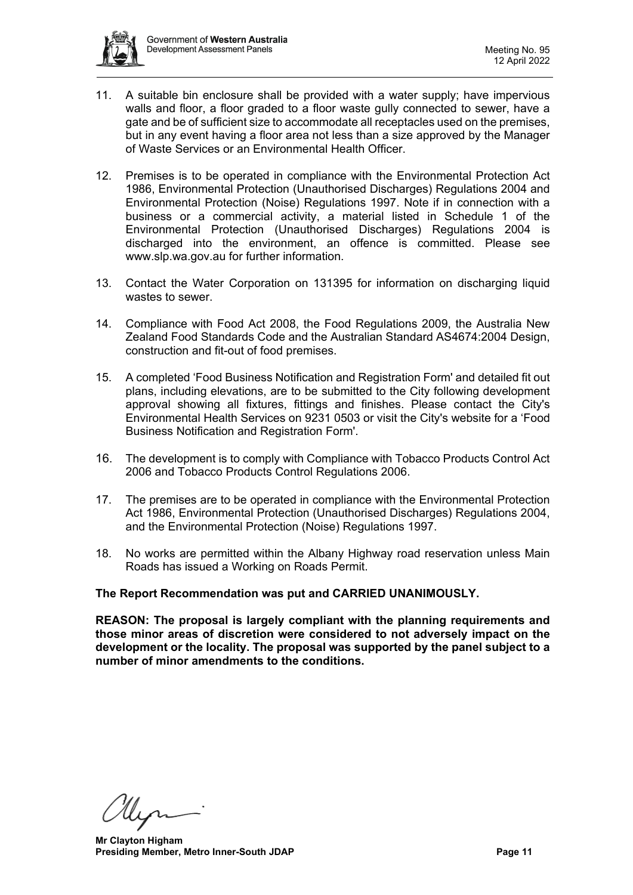

- 11. A suitable bin enclosure shall be provided with a water supply; have impervious walls and floor, a floor graded to a floor waste gully connected to sewer, have a gate and be of sufficient size to accommodate all receptacles used on the premises, but in any event having a floor area not less than a size approved by the Manager of Waste Services or an Environmental Health Officer.
- 12. Premises is to be operated in compliance with the Environmental Protection Act 1986, Environmental Protection (Unauthorised Discharges) Regulations 2004 and Environmental Protection (Noise) Regulations 1997. Note if in connection with a business or a commercial activity, a material listed in Schedule 1 of the Environmental Protection (Unauthorised Discharges) Regulations 2004 is discharged into the environment, an offence is committed. Please see www.slp.wa.gov.au for further information.
- 13. Contact the Water Corporation on 131395 for information on discharging liquid wastes to sewer.
- 14. Compliance with Food Act 2008, the Food Regulations 2009, the Australia New Zealand Food Standards Code and the Australian Standard AS4674:2004 Design, construction and fit-out of food premises.
- 15. A completed 'Food Business Notification and Registration Form' and detailed fit out plans, including elevations, are to be submitted to the City following development approval showing all fixtures, fittings and finishes. Please contact the City's Environmental Health Services on 9231 0503 or visit the City's website for a 'Food Business Notification and Registration Form'.
- 16. The development is to comply with Compliance with Tobacco Products Control Act 2006 and Tobacco Products Control Regulations 2006.
- 17. The premises are to be operated in compliance with the Environmental Protection Act 1986, Environmental Protection (Unauthorised Discharges) Regulations 2004, and the Environmental Protection (Noise) Regulations 1997.
- 18. No works are permitted within the Albany Highway road reservation unless Main Roads has issued a Working on Roads Permit.

# **The Report Recommendation was put and CARRIED UNANIMOUSLY.**

**REASON: The proposal is largely compliant with the planning requirements and those minor areas of discretion were considered to not adversely impact on the development or the locality. The proposal was supported by the panel subject to a number of minor amendments to the conditions.**

**Mr Clayton Higham Presiding Member, Metro Inner-South JDAP Page 11 Page 11**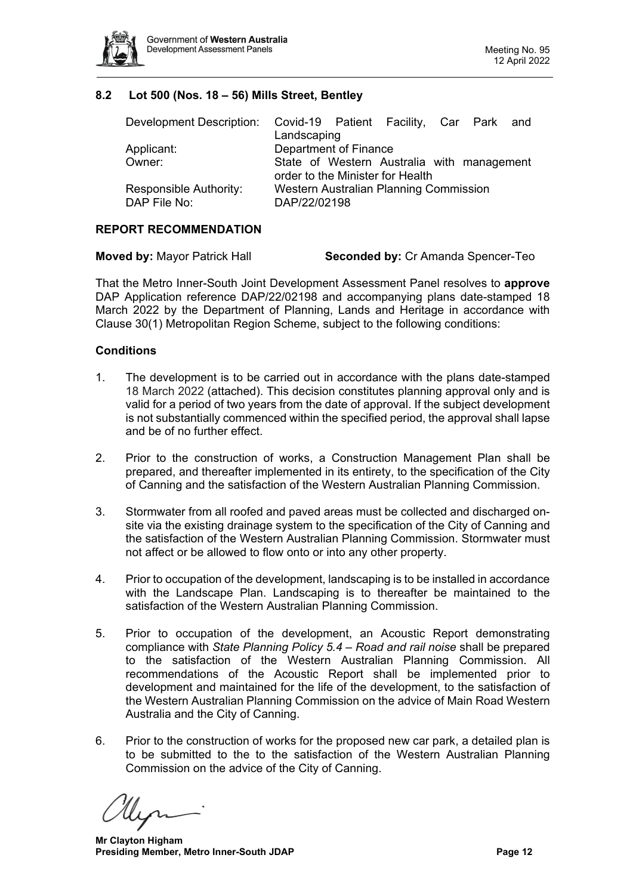

#### **8.2 Lot 500 (Nos. 18 – 56) Mills Street, Bentley**

<span id="page-11-0"></span>

| Development Description: Covid-19 Patient Facility, Car Park and |                                            |  |  |  |  |  |
|------------------------------------------------------------------|--------------------------------------------|--|--|--|--|--|
|                                                                  | Landscaping                                |  |  |  |  |  |
| Applicant:                                                       | Department of Finance                      |  |  |  |  |  |
| Owner:                                                           | State of Western Australia with management |  |  |  |  |  |
|                                                                  | order to the Minister for Health           |  |  |  |  |  |
| Responsible Authority:                                           | Western Australian Planning Commission     |  |  |  |  |  |
| DAP File No:                                                     | DAP/22/02198                               |  |  |  |  |  |

#### **REPORT RECOMMENDATION**

That the Metro Inner-South Joint Development Assessment Panel resolves to **approve** DAP Application reference DAP/22/02198 and accompanying plans date-stamped 18 March 2022 by the Department of Planning, Lands and Heritage in accordance with Clause 30(1) Metropolitan Region Scheme, subject to the following conditions:

#### **Conditions**

- 1. The development is to be carried out in accordance with the plans date-stamped 18 March 2022 (attached). This decision constitutes planning approval only and is valid for a period of two years from the date of approval. If the subject development is not substantially commenced within the specified period, the approval shall lapse and be of no further effect.
- 2. Prior to the construction of works, a Construction Management Plan shall be prepared, and thereafter implemented in its entirety, to the specification of the City of Canning and the satisfaction of the Western Australian Planning Commission.
- 3. Stormwater from all roofed and paved areas must be collected and discharged onsite via the existing drainage system to the specification of the City of Canning and the satisfaction of the Western Australian Planning Commission. Stormwater must not affect or be allowed to flow onto or into any other property.
- 4. Prior to occupation of the development, landscaping is to be installed in accordance with the Landscape Plan. Landscaping is to thereafter be maintained to the satisfaction of the Western Australian Planning Commission.
- 5. Prior to occupation of the development, an Acoustic Report demonstrating compliance with *State Planning Policy 5.4 – Road and rail noise* shall be prepared to the satisfaction of the Western Australian Planning Commission. All recommendations of the Acoustic Report shall be implemented prior to development and maintained for the life of the development, to the satisfaction of the Western Australian Planning Commission on the advice of Main Road Western Australia and the City of Canning.
- 6. Prior to the construction of works for the proposed new car park, a detailed plan is to be submitted to the to the satisfaction of the Western Australian Planning Commission on the advice of the City of Canning.

**Mr Clayton Higham Presiding Member, Metro Inner-South JDAP Page 12 Page 12**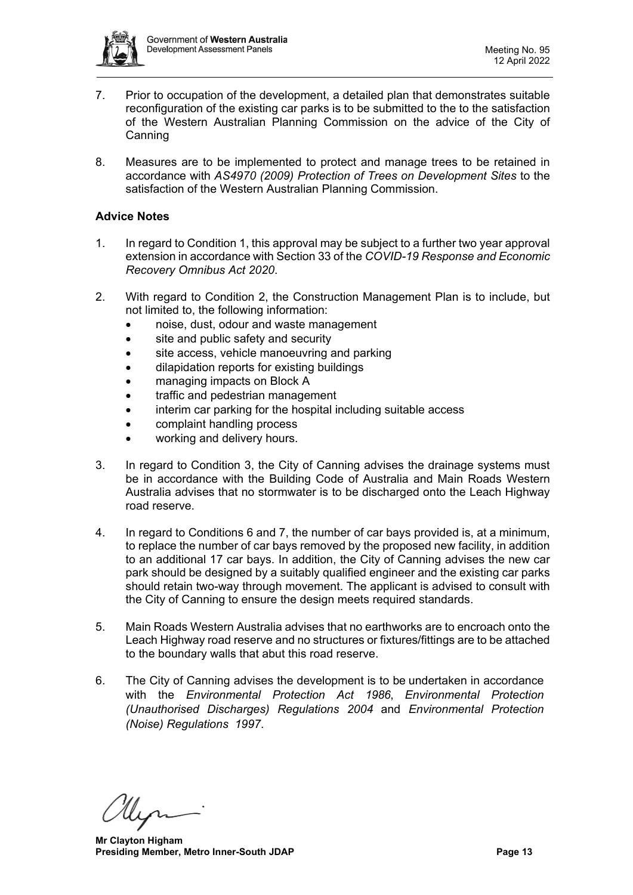

- 7. Prior to occupation of the development, a detailed plan that demonstrates suitable reconfiguration of the existing car parks is to be submitted to the to the satisfaction of the Western Australian Planning Commission on the advice of the City of **Canning**
- 8. Measures are to be implemented to protect and manage trees to be retained in accordance with *AS4970 (2009) Protection of Trees on Development Sites* to the satisfaction of the Western Australian Planning Commission.

#### **Advice Notes**

- 1. In regard to Condition 1, this approval may be subject to a further two year approval extension in accordance with Section 33 of the *COVID-19 Response and Economic Recovery Omnibus Act 2020*.
- 2. With regard to Condition 2, the Construction Management Plan is to include, but not limited to, the following information:
	- noise, dust, odour and waste management
	- site and public safety and security
	- site access, vehicle manoeuvring and parking
	- dilapidation reports for existing buildings
	- managing impacts on Block A
	- traffic and pedestrian management
	- interim car parking for the hospital including suitable access
	- complaint handling process
	- working and delivery hours.
- 3. In regard to Condition 3, the City of Canning advises the drainage systems must be in accordance with the Building Code of Australia and Main Roads Western Australia advises that no stormwater is to be discharged onto the Leach Highway road reserve.
- 4. In regard to Conditions 6 and 7, the number of car bays provided is, at a minimum, to replace the number of car bays removed by the proposed new facility, in addition to an additional 17 car bays. In addition, the City of Canning advises the new car park should be designed by a suitably qualified engineer and the existing car parks should retain two-way through movement. The applicant is advised to consult with the City of Canning to ensure the design meets required standards.
- 5. Main Roads Western Australia advises that no earthworks are to encroach onto the Leach Highway road reserve and no structures or fixtures/fittings are to be attached to the boundary walls that abut this road reserve.
- 6. The City of Canning advises the development is to be undertaken in accordance with the *Environmental Protection Act 1986*, *Environmental Protection (Unauthorised Discharges) Regulations 2004* and *Environmental Protection (Noise) Regulations 1997*.

**Mr Clayton Higham Presiding Member, Metro Inner-South JDAP Page 13 Page 13**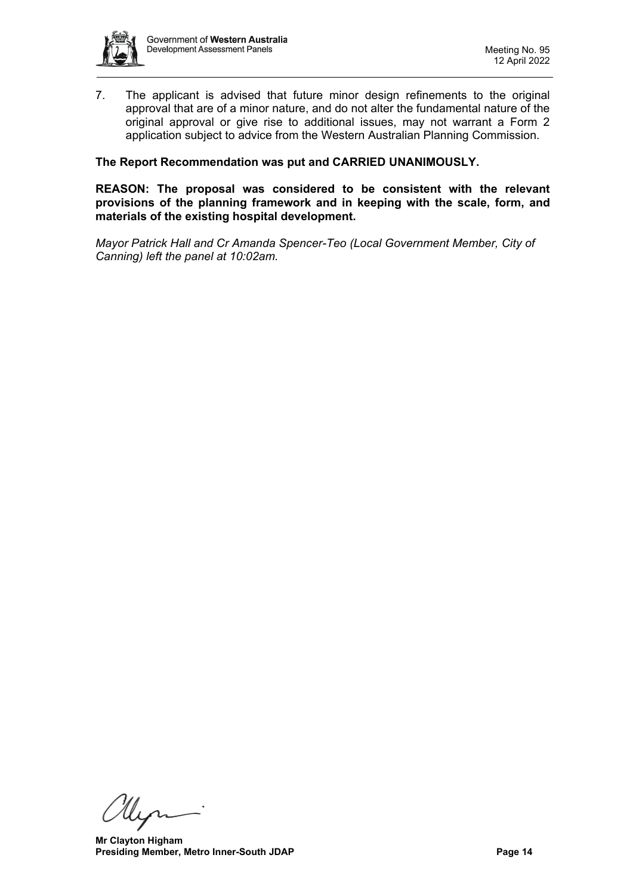

7. The applicant is advised that future minor design refinements to the original approval that are of a minor nature, and do not alter the fundamental nature of the original approval or give rise to additional issues, may not warrant a Form 2 application subject to advice from the Western Australian Planning Commission.

#### **The Report Recommendation was put and CARRIED UNANIMOUSLY.**

**REASON: The proposal was considered to be consistent with the relevant provisions of the planning framework and in keeping with the scale, form, and materials of the existing hospital development.**

*Mayor Patrick Hall and Cr Amanda Spencer-Teo (Local Government Member, City of Canning) left the panel at 10:02am.*

llin

**Mr Clayton Higham Presiding Member, Metro Inner-South JDAP Page 14 Page 14**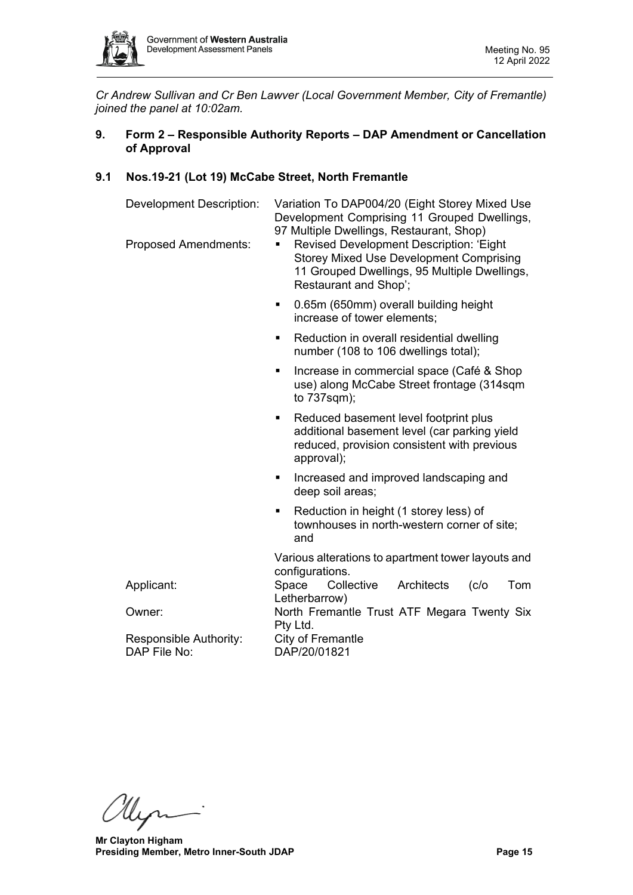

<span id="page-14-0"></span>*Cr Andrew Sullivan and Cr Ben Lawver (Local Government Member, City of Fremantle) joined the panel at 10:02am.*

# **9. Form 2 – Responsible Authority Reports – DAP Amendment or Cancellation of Approval**

#### <span id="page-14-1"></span>**9.1 Nos.19-21 (Lot 19) McCabe Street, North Fremantle**

| Variation To DAP004/20 (Eight Storey Mixed Use<br>Development Comprising 11 Grouped Dwellings,<br>97 Multiple Dwellings, Restaurant, Shop)<br>Revised Development Description: 'Eight<br><b>Storey Mixed Use Development Comprising</b><br>11 Grouped Dwellings, 95 Multiple Dwellings,<br>Restaurant and Shop'; |  |  |
|------------------------------------------------------------------------------------------------------------------------------------------------------------------------------------------------------------------------------------------------------------------------------------------------------------------|--|--|
| 0.65m (650mm) overall building height<br>٠<br>increase of tower elements;                                                                                                                                                                                                                                        |  |  |
| Reduction in overall residential dwelling<br>٠<br>number (108 to 106 dwellings total);                                                                                                                                                                                                                           |  |  |
| Increase in commercial space (Café & Shop<br>٠<br>use) along McCabe Street frontage (314sqm<br>to 737sqm);                                                                                                                                                                                                       |  |  |
| Reduced basement level footprint plus<br>٠<br>additional basement level (car parking yield<br>reduced, provision consistent with previous<br>approval);                                                                                                                                                          |  |  |
| Increased and improved landscaping and<br>٠<br>deep soil areas;<br>Reduction in height (1 storey less) of<br>٠<br>townhouses in north-western corner of site;<br>and                                                                                                                                             |  |  |
|                                                                                                                                                                                                                                                                                                                  |  |  |
| Space<br>Collective<br>Architects<br>Tom<br>(c/o<br>Letherbarrow)                                                                                                                                                                                                                                                |  |  |
| North Fremantle Trust ATF Megara Twenty Six<br>Pty Ltd.                                                                                                                                                                                                                                                          |  |  |
| City of Fremantle<br>DAP/20/01821                                                                                                                                                                                                                                                                                |  |  |
|                                                                                                                                                                                                                                                                                                                  |  |  |

Myri

**Mr Clayton Higham Presiding Member, Metro Inner-South JDAP Page 15**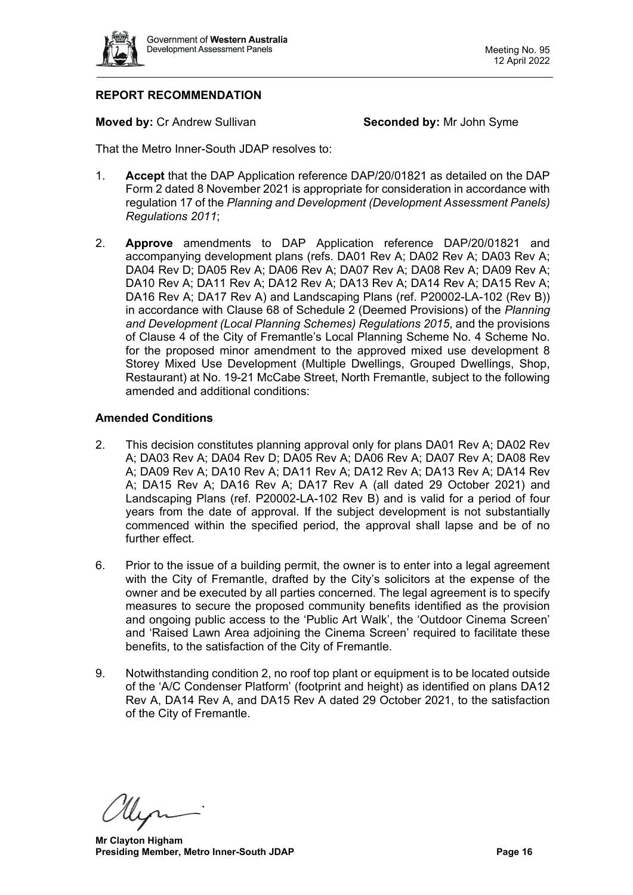

# **REPORT RECOMMENDATION**

**Moved by: Cr Andrew Sullivan <b>Seconded by:** Mr John Syme

That the Metro Inner-South JDAP resolves to:

- 1. **Accept** that the DAP Application reference DAP/20/01821 as detailed on the DAP Form 2 dated 8 November 2021 is appropriate for consideration in accordance with regulation 17 of the *Planning and Development (Development Assessment Panels) Regulations 2011*;
- 2. **Approve** amendments to DAP Application reference DAP/20/01821 and accompanying development plans (refs. DA01 Rev A; DA02 Rev A; DA03 Rev A; DA04 Rev D; DA05 Rev A; DA06 Rev A; DA07 Rev A; DA08 Rev A; DA09 Rev A; DA10 Rev A; DA11 Rev A; DA12 Rev A; DA13 Rev A; DA14 Rev A; DA15 Rev A; DA16 Rev A; DA17 Rev A) and Landscaping Plans (ref. P20002-LA-102 (Rev B)) in accordance with Clause 68 of Schedule 2 (Deemed Provisions) of the *Planning and Development (Local Planning Schemes) Regulations 2015*, and the provisions of Clause 4 of the City of Fremantle's Local Planning Scheme No. 4 Scheme No. for the proposed minor amendment to the approved mixed use development 8 Storey Mixed Use Development (Multiple Dwellings, Grouped Dwellings, Shop, Restaurant) at No. 19-21 McCabe Street, North Fremantle, subject to the following amended and additional conditions:

#### **Amended Conditions**

- 2. This decision constitutes planning approval only for plans DA01 Rev A; DA02 Rev A; DA03 Rev A; DA04 Rev D; DA05 Rev A; DA06 Rev A; DA07 Rev A; DA08 Rev A; DA09 Rev A; DA10 Rev A; DA11 Rev A; DA12 Rev A; DA13 Rev A; DA14 Rev A; DA15 Rev A; DA16 Rev A; DA17 Rev A (all dated 29 October 2021) and Landscaping Plans (ref. P20002-LA-102 Rev B) and is valid for a period of four years from the date of approval. If the subject development is not substantially commenced within the specified period, the approval shall lapse and be of no further effect.
- 6. Prior to the issue of a building permit, the owner is to enter into a legal agreement with the City of Fremantle, drafted by the City's solicitors at the expense of the owner and be executed by all parties concerned. The legal agreement is to specify measures to secure the proposed community benefits identified as the provision and ongoing public access to the 'Public Art Walk', the 'Outdoor Cinema Screen' and 'Raised Lawn Area adjoining the Cinema Screen' required to facilitate these benefits, to the satisfaction of the City of Fremantle.
- 9. Notwithstanding condition 2, no roof top plant or equipment is to be located outside of the 'A/C Condenser Platform' (footprint and height) as identified on plans DA12 Rev A, DA14 Rev A, and DA15 Rev A dated 29 October 2021, to the satisfaction of the City of Fremantle.

**Mr Clayton Higham Presiding Member, Metro Inner-South JDAP Page 16 Page 16**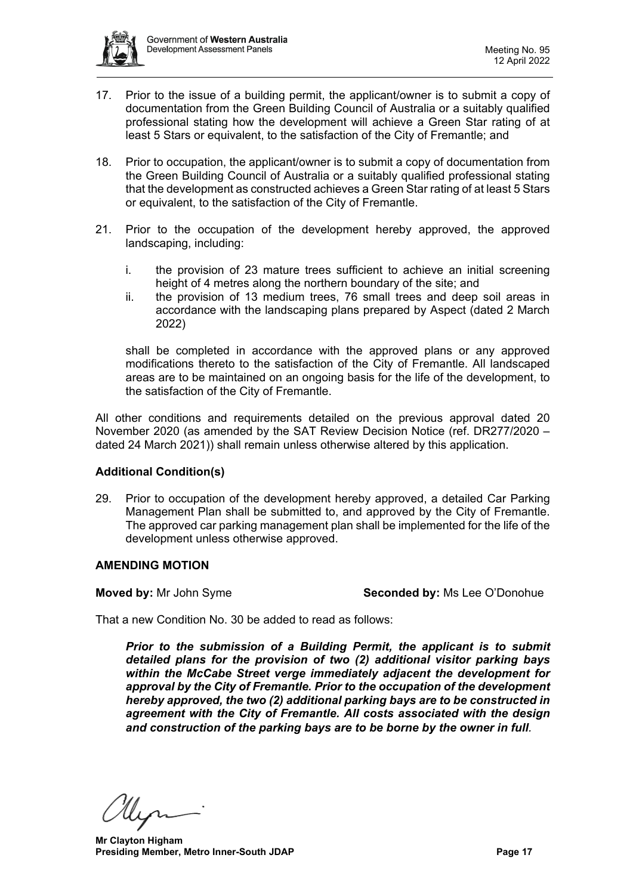

- 17. Prior to the issue of a building permit, the applicant/owner is to submit a copy of documentation from the Green Building Council of Australia or a suitably qualified professional stating how the development will achieve a Green Star rating of at least 5 Stars or equivalent, to the satisfaction of the City of Fremantle; and
- 18. Prior to occupation, the applicant/owner is to submit a copy of documentation from the Green Building Council of Australia or a suitably qualified professional stating that the development as constructed achieves a Green Star rating of at least 5 Stars or equivalent, to the satisfaction of the City of Fremantle.
- 21. Prior to the occupation of the development hereby approved, the approved landscaping, including:
	- i. the provision of 23 mature trees sufficient to achieve an initial screening height of 4 metres along the northern boundary of the site; and
	- ii. the provision of 13 medium trees, 76 small trees and deep soil areas in accordance with the landscaping plans prepared by Aspect (dated 2 March 2022)

shall be completed in accordance with the approved plans or any approved modifications thereto to the satisfaction of the City of Fremantle. All landscaped areas are to be maintained on an ongoing basis for the life of the development, to the satisfaction of the City of Fremantle.

All other conditions and requirements detailed on the previous approval dated 20 November 2020 (as amended by the SAT Review Decision Notice (ref. DR277/2020 – dated 24 March 2021)) shall remain unless otherwise altered by this application.

# **Additional Condition(s)**

29. Prior to occupation of the development hereby approved, a detailed Car Parking Management Plan shall be submitted to, and approved by the City of Fremantle. The approved car parking management plan shall be implemented for the life of the development unless otherwise approved.

# **AMENDING MOTION**

**Moved by:** Mr John Syme **Seconded by:** Ms Lee O'Donohue

That a new Condition No. 30 be added to read as follows:

*Prior to the submission of a Building Permit, the applicant is to submit detailed plans for the provision of two (2) additional visitor parking bays within the McCabe Street verge immediately adjacent the development for approval by the City of Fremantle. Prior to the occupation of the development hereby approved, the two (2) additional parking bays are to be constructed in agreement with the City of Fremantle. All costs associated with the design and construction of the parking bays are to be borne by the owner in full.* 

**Mr Clayton Higham Presiding Member, Metro Inner-South JDAP Page 17 Page 17**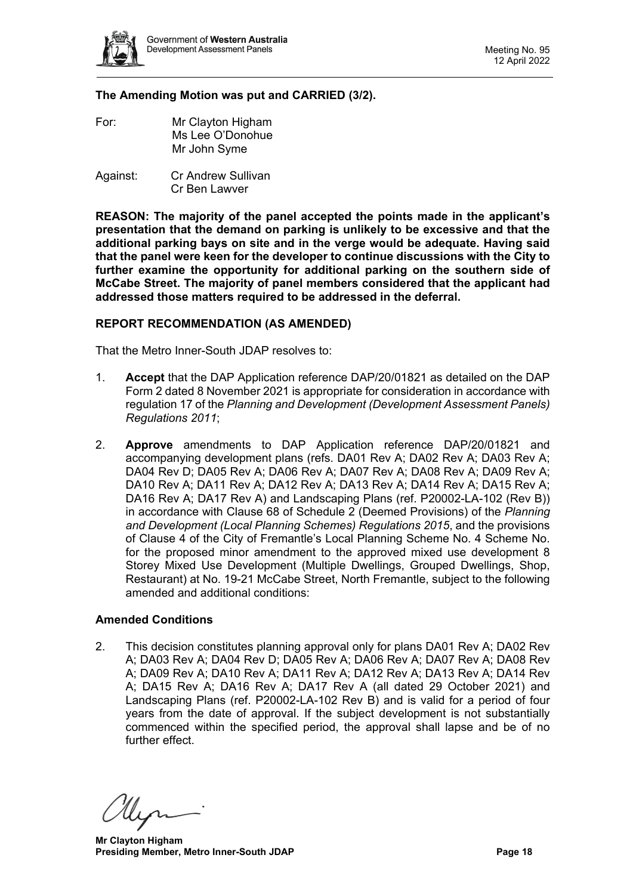

#### **The Amending Motion was put and CARRIED (3/2).**

- For: Mr Clayton Higham Ms Lee O'Donohue Mr John Syme
- Against: Cr Andrew Sullivan Cr Ben Lawver

**REASON: The majority of the panel accepted the points made in the applicant's presentation that the demand on parking is unlikely to be excessive and that the additional parking bays on site and in the verge would be adequate. Having said that the panel were keen for the developer to continue discussions with the City to further examine the opportunity for additional parking on the southern side of McCabe Street. The majority of panel members considered that the applicant had addressed those matters required to be addressed in the deferral.**

#### **REPORT RECOMMENDATION (AS AMENDED)**

That the Metro Inner-South JDAP resolves to:

- 1. **Accept** that the DAP Application reference DAP/20/01821 as detailed on the DAP Form 2 dated 8 November 2021 is appropriate for consideration in accordance with regulation 17 of the *Planning and Development (Development Assessment Panels) Regulations 2011*;
- 2. **Approve** amendments to DAP Application reference DAP/20/01821 and accompanying development plans (refs. DA01 Rev A; DA02 Rev A; DA03 Rev A; DA04 Rev D; DA05 Rev A; DA06 Rev A; DA07 Rev A; DA08 Rev A; DA09 Rev A; DA10 Rev A; DA11 Rev A; DA12 Rev A; DA13 Rev A; DA14 Rev A; DA15 Rev A; DA16 Rev A; DA17 Rev A) and Landscaping Plans (ref. P20002-LA-102 (Rev B)) in accordance with Clause 68 of Schedule 2 (Deemed Provisions) of the *Planning and Development (Local Planning Schemes) Regulations 2015*, and the provisions of Clause 4 of the City of Fremantle's Local Planning Scheme No. 4 Scheme No. for the proposed minor amendment to the approved mixed use development 8 Storey Mixed Use Development (Multiple Dwellings, Grouped Dwellings, Shop, Restaurant) at No. 19-21 McCabe Street, North Fremantle, subject to the following amended and additional conditions:

#### **Amended Conditions**

2. This decision constitutes planning approval only for plans DA01 Rev A; DA02 Rev A; DA03 Rev A; DA04 Rev D; DA05 Rev A; DA06 Rev A; DA07 Rev A; DA08 Rev A; DA09 Rev A; DA10 Rev A; DA11 Rev A; DA12 Rev A; DA13 Rev A; DA14 Rev A; DA15 Rev A; DA16 Rev A; DA17 Rev A (all dated 29 October 2021) and Landscaping Plans (ref. P20002-LA-102 Rev B) and is valid for a period of four years from the date of approval. If the subject development is not substantially commenced within the specified period, the approval shall lapse and be of no further effect.

**Mr Clayton Higham Presiding Member, Metro Inner-South JDAP Page 18 Page 18**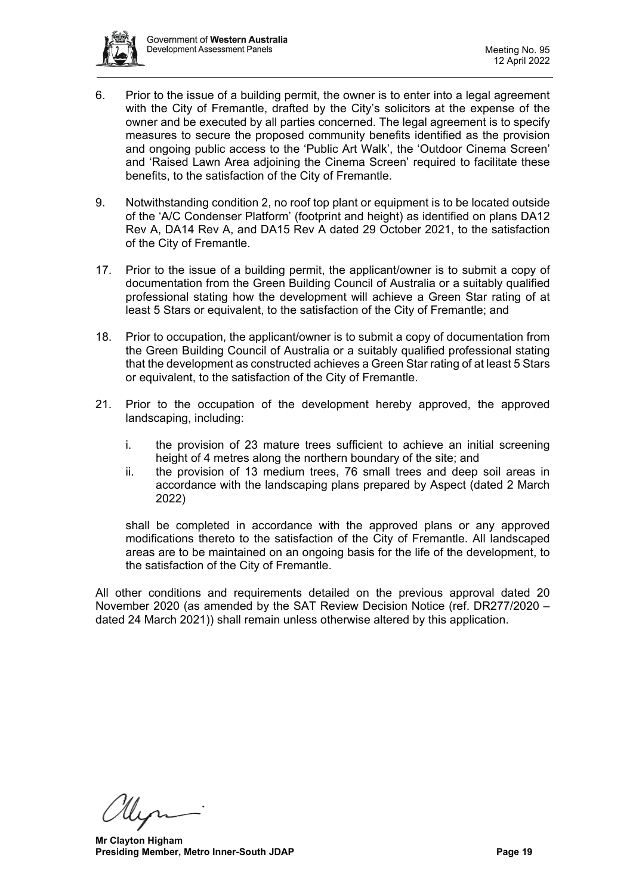

- 6. Prior to the issue of a building permit, the owner is to enter into a legal agreement with the City of Fremantle, drafted by the City's solicitors at the expense of the owner and be executed by all parties concerned. The legal agreement is to specify measures to secure the proposed community benefits identified as the provision and ongoing public access to the 'Public Art Walk', the 'Outdoor Cinema Screen' and 'Raised Lawn Area adjoining the Cinema Screen' required to facilitate these benefits, to the satisfaction of the City of Fremantle.
- 9. Notwithstanding condition 2, no roof top plant or equipment is to be located outside of the 'A/C Condenser Platform' (footprint and height) as identified on plans DA12 Rev A, DA14 Rev A, and DA15 Rev A dated 29 October 2021, to the satisfaction of the City of Fremantle.
- 17. Prior to the issue of a building permit, the applicant/owner is to submit a copy of documentation from the Green Building Council of Australia or a suitably qualified professional stating how the development will achieve a Green Star rating of at least 5 Stars or equivalent, to the satisfaction of the City of Fremantle; and
- 18. Prior to occupation, the applicant/owner is to submit a copy of documentation from the Green Building Council of Australia or a suitably qualified professional stating that the development as constructed achieves a Green Star rating of at least 5 Stars or equivalent, to the satisfaction of the City of Fremantle.
- 21. Prior to the occupation of the development hereby approved, the approved landscaping, including:
	- i. the provision of 23 mature trees sufficient to achieve an initial screening height of 4 metres along the northern boundary of the site; and
	- ii. the provision of 13 medium trees, 76 small trees and deep soil areas in accordance with the landscaping plans prepared by Aspect (dated 2 March 2022)

shall be completed in accordance with the approved plans or any approved modifications thereto to the satisfaction of the City of Fremantle. All landscaped areas are to be maintained on an ongoing basis for the life of the development, to the satisfaction of the City of Fremantle.

All other conditions and requirements detailed on the previous approval dated 20 November 2020 (as amended by the SAT Review Decision Notice (ref. DR277/2020 – dated 24 March 2021)) shall remain unless otherwise altered by this application.

**Mr Clayton Higham Presiding Member, Metro Inner-South JDAP Page 19 Page 19**